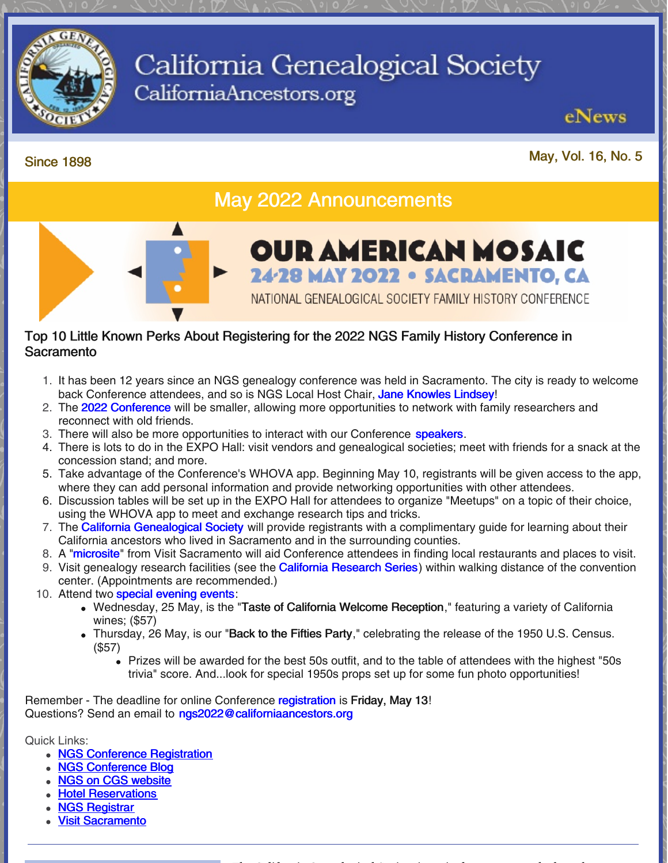

# California Genealogical Society CaliforniaAncestors.org

Since <sup>1898</sup> May, Vol. 16, No. <sup>5</sup>

eNews

## May 2022 Announcements



#### Top 10 Little Known Perks About Registering for the 2022 NGS Family History Conference in **Sacramento**

- 1. It has been 12 years since an NGS genealogy conference was held in Sacramento. The city is ready to welcome back Conference attendees, and so is NGS Local Host Chair, Jane [Knowles](https://conference.ngsgenealogy.org/ngs-2022-message-local-chair-jane-lindsey/) Lindsey!
- 2. The 2022 [Conference](https://conference.ngsgenealogy.org/wp-content/uploads/pdf/NGS-2022-ConfRegBroch-01102022-Final.pdf) will be smaller, allowing more opportunities to network with family researchers and reconnect with old friends.
- 3. There will also be more opportunities to interact with our Conference **[speakers](https://conference.ngsgenealogy.org/our-speakers/)**.
- 4. There is lots to do in the EXPO Hall: visit vendors and genealogical societies; meet with friends for a snack at the concession stand; and more.
- 5. Take advantage of the Conference's WHOVA app. Beginning May 10, registrants will be given access to the app, where they can add personal information and provide networking opportunities with other attendees.
- 6. Discussion tables will be set up in the EXPO Hall for attendees to organize "Meetups" on a topic of their choice, using the WHOVA app to meet and exchange research tips and tricks.
- 7. The **California [Genealogical](https://www.californiaancestors.org/) Society** will provide registrants with a complimentary guide for learning about their California ancestors who lived in Sacramento and in the surrounding counties.
- 8. A ["microsite](https://www.visitsacramento.com/national-genealogical-society/)" from Visit Sacramento will aid Conference attendees in finding local restaurants and places to visit.
- 9. Visit genealogy research facilities (see the **California [Research](https://www.californiaancestors.org/ngs-2022-family-history-conference/) Series**) within walking distance of the convention center. (Appointments are recommended.)
- 10. Attend two special [evening](https://conference.ngsgenealogy.org/eveningevents/) events:
	- Wednesday, 25 May, is the "Taste of California Welcome Reception," featuring a variety of California wines; (\$57)
	- Thursday, 26 May, is our "Back to the Fifties Party," celebrating the release of the 1950 U.S. Census. (\$57)
		- Prizes will be awarded for the best 50s outfit, and to the table of attendees with the highest "50s trivia" score. And...look for special 1950s props set up for some fun photo opportunities!

Remember - The deadline for online Conference [registration](https://conference.ngsgenealogy.org/) is Friday, May 13! Questions? Send an email to [ngs2022@californiaancestors.org](mailto:ngs2022@californiaancestors.org)

Quick Links:

- NGS Conference [Registration](https://conference.ngsgenealogy.org/)
- NGS [Conference](https://conference.ngsgenealogy.org/category/2022-sacramento/) Blog
- NGS on CGS [website](https://www.californiaancestors.org/ngs-2022-family-history-conference/)
- **Hotel [Reservations](https://conference.ngsgenealogy.org/ngs-2022-conference-hotels/)**
- **NGS [Registrar](mailto:registrar@ngsgenealogy.org)**
- **Visit [Sacramento](https://www.visitsacramento.com/?&utm_source=reachlocal&utm_medium=sem&utm_campaign=sacramentocvb&utm_actcampaign=67018&scid=3325897&kw=943183:19459&pub_cr_id=535149501823&device=c&network=g&targetid=kwd-1123023560&loc_interest_ms=&loc_physical_ms=9031957&tc=CjwKCAjw8sCRBhA6EiwA6_IF4eWK74iw-djpFUsU_lOtZ-zhaUePNO1aAEYpPXtAXcZrXaxnZWe39BoCmwAQAvD_BwE&rl_key=39de5daaf8c66ee9bf7dc4933957ef56)**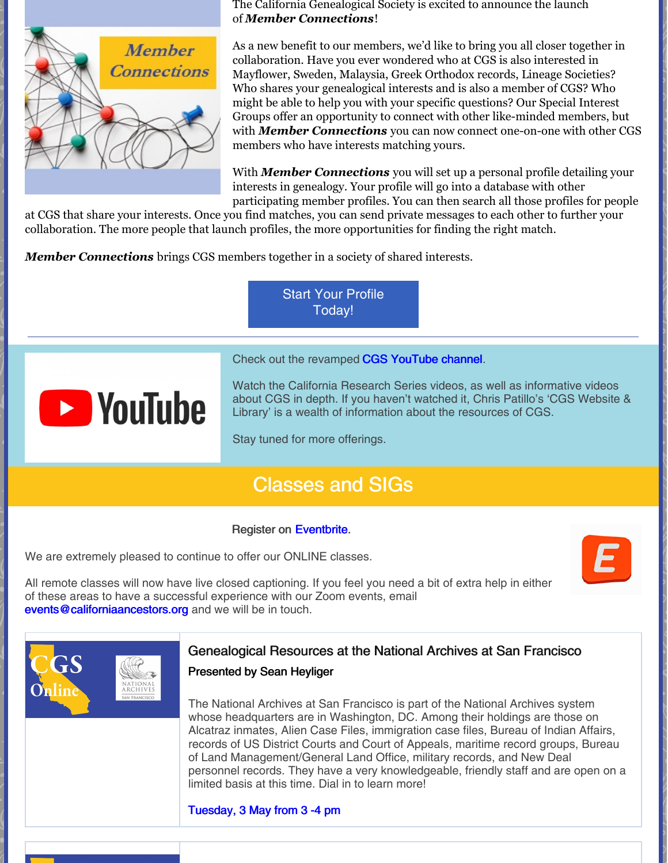

The California Genealogical Society is excited to announce the launch of *Member [Connections](https://www.californiaancestors.org/member-connections/)*!

As a new benefit to our members, we'd like to bring you all closer together in collaboration. Have you ever wondered who at CGS is also interested in Mayflower, Sweden, Malaysia, Greek Orthodox records, Lineage Societies? Who shares your genealogical interests and is also a member of CGS? Who might be able to help you with your specific questions? Our Special Interest Groups offer an opportunity to connect with other like-minded members, but with *Member [Connections](https://www.californiaancestors.org/member-connections/)* you can now connect one-on-one with other CGS members who have interests matching yours.

With *Member [Connections](https://www.californiaancestors.org/member-connections/)* you will set up a personal profile detailing your interests in genealogy. Your profile will go into a database with other participating member profiles. You can then search all those profiles for people

at CGS that share your interests. Once you find matches, you can send private messages to each other to further your collaboration. The more people that launch profiles, the more opportunities for finding the right match.

*Member [Connections](https://www.californiaancestors.org/member-connections/)* brings CGS members together in a society of shared interests.

Start Your Profile [Today!](https://www.californiaancestors.org/member-connections/)

Check out the revamped CGS [YouTube](https://www.youtube.com/user/CAancestors) channel.



Watch the California Research Series videos, as well as informative videos about CGS in depth. If you haven't watched it, Chris Patillo's 'CGS Website & Library' is a wealth of information about the resources of CGS.

Stay tuned for more offerings.

### Classes and SIGs

#### Register on [Eventbrite](https://www.eventbrite.com/o/california-genealogical-society-amp-library-5537240243).

We are extremely pleased to continue to offer our ONLINE classes.

All remote classes will now have live closed captioning. If you feel you need a bit of extra help in either of these areas to have a successful experience with our Zoom events, email [events@californiaancestors.org](mailto:events@californiaancestors.org) and we will be in touch.



#### Genealogical Resources at the National Archives at San Francisco

#### Presented by Sean Heyliger

The National Archives at San Francisco is part of the National Archives system whose headquarters are in Washington, DC. Among their holdings are those on Alcatraz inmates, Alien Case Files, immigration case files, Bureau of Indian Affairs, records of US District Courts and Court of Appeals, maritime record groups, Bureau of Land Management/General Land Office, military records, and New Deal personnel records. They have a very knowledgeable, friendly staff and are open on a limited basis at this time. Dial in to learn more!

#### [Tuesday,](https://www.eventbrite.com/e/genealogical-resources-at-the-national-archives-at-san-francisco-tickets-321584336407?aff=ebdsoporgprofile) 3 May from 3 -4 pm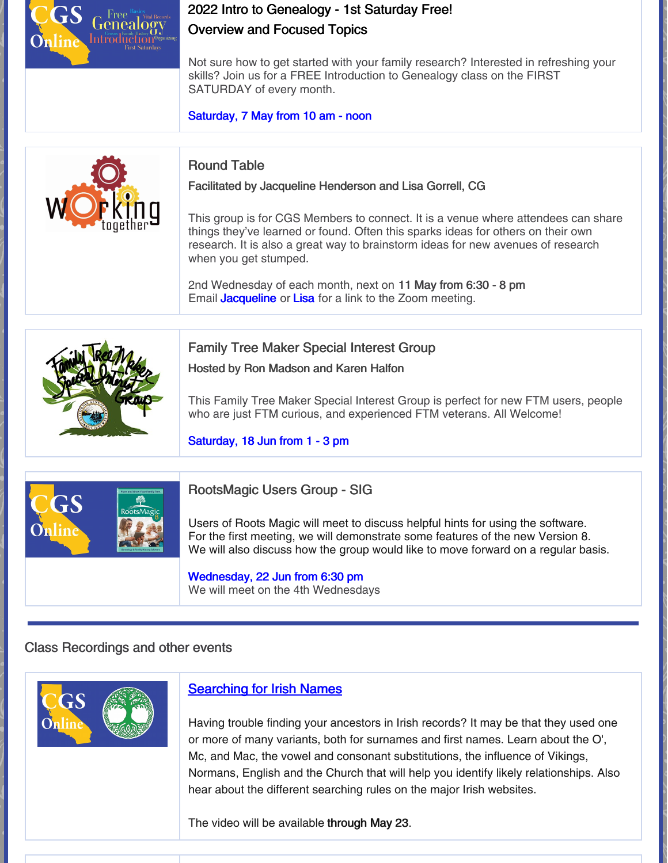### 2022 Intro to Genealogy - 1st Saturday Free! Overview and Focused Topics

Not sure how to get started with your family research? Interested in refreshing your skills? Join us for a FREE Introduction to Genealogy class on the FIRST SATURDAY of every month.

[Saturday,](https://www.eventbrite.com/e/2022-intro-to-genealogy-1st-saturday-free-overview-and-focused-topics-registration-212156083557?aff=ebdsoporgprofile) 7 May from 10 am - noon



### Round Table

Facilitated by Jacqueline Henderson and Lisa Gorrell, CG

This group is for CGS Members to connect. It is a venue where attendees can share things they've learned or found. Often this sparks ideas for others on their own research. It is also a great way to brainstorm ideas for new avenues of research when you get stumped.

2nd Wednesday of each month, next on 11 May from 6:30 - 8 pm Email **[Jacqueline](mailto:jhenderson@californiaancestors.org)** or [Lisa](mailto:lgorrell@californiaancestors.org) for a link to the Zoom meeting.



Family Tree Maker Special Interest Group

Hosted by Ron Madson and Karen Halfon

This Family Tree Maker Special Interest Group is perfect for new FTM users, people who are just FTM curious, and experienced FTM veterans. All Welcome!

#### [Saturday,](https://www.eventbrite.com/e/family-tree-maker-sig-apr-16-plan-workspace-web-search-workspace-tickets-302254038967?aff=ebdsoporgprofile) 18 Jun from 1 - 3 pm



RootsMagic Users Group - SIG

Users of Roots Magic will meet to discuss helpful hints for using the software. For the first meeting, we will demonstrate some features of the new Version 8. We will also discuss how the group would like to move forward on a regular basis.

#### [Wednesday,](https://www.eventbrite.com/e/roots-magic-special-interest-group-registration-292926088817?aff=ebdsoporgprofile) 22 Jun from 6:30 pm

We will meet on the 4th Wednesdays

### Class Recordings and other events



### **[Searching](https://www.eventbrite.com/e/searching-for-irish-names-registration-229655213927) for Irish Names**

Having trouble finding your ancestors in Irish records? It may be that they used one or more of many variants, both for surnames and first names. Learn about the O', Mc, and Mac, the vowel and consonant substitutions, the influence of Vikings, Normans, English and the Church that will help you identify likely relationships. Also hear about the different searching rules on the major Irish websites.

The video will be available through May 23.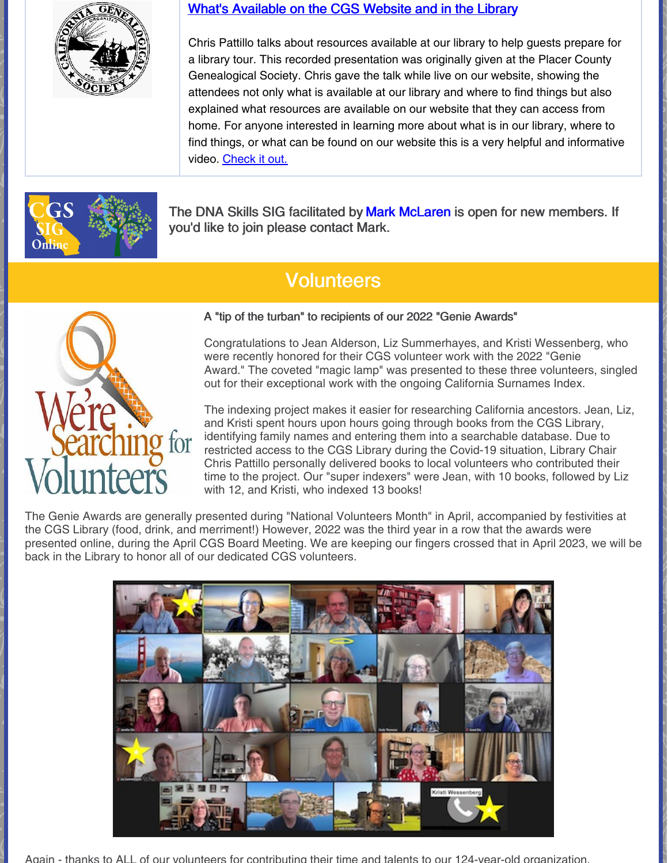

#### What's [Available](https://vimeo.com/647623703) on the CGS Website and in the Library

Chris Pattillo talks about resources available at our library to help guests prepare for a library tour. This recorded presentation was originally given at the Placer County Genealogical Society. Chris gave the talk while live on our website, showing the attendees not only what is available at our library and where to find things but also explained what resources are available on our website that they can access from home. For anyone interested in learning more about what is in our library, where to find things, or what can be found on our website this is a very helpful and informative video. [Check](https://vimeo.com/647623703) it out.



The DNA Skills SIG facilitated by Mark [McLaren](mailto:greatscot@earthlink.net) is open for new members. If you'd like to join please contact Mark.

## **Volunteers**



A "tip of the turban" to recipients of our 2022 "Genie Awards"

Congratulations to Jean Alderson, Liz Summerhayes, and Kristi Wessenberg, who were recently honored for their CGS volunteer work with the 2022 "Genie Award." The coveted "magic lamp" was presented to these three volunteers, singled out for their exceptional work with the ongoing California Surnames Index.

The indexing project makes it easier for researching California ancestors. Jean, Liz, and Kristi spent hours upon hours going through books from the CGS Library, identifying family names and entering them into a searchable database. Due to restricted access to the CGS Library during the Covid-19 situation, Library Chair Chris Pattillo personally delivered books to local volunteers who contributed their time to the project. Our "super indexers" were Jean, with 10 books, followed by Liz with 12, and Kristi, who indexed 13 books!

The Genie Awards are generally presented during "National Volunteers Month" in April, accompanied by festivities at the CGS Library (food, drink, and merriment!) However, 2022 was the third year in a row that the awards were presented online, during the April CGS Board Meeting. We are keeping our fingers crossed that in April 2023, we will be back in the Library to honor all of our dedicated CGS volunteers.



Again - thanks to ALL of our volunteers for contributing their time and talents to our 124-year-old organization.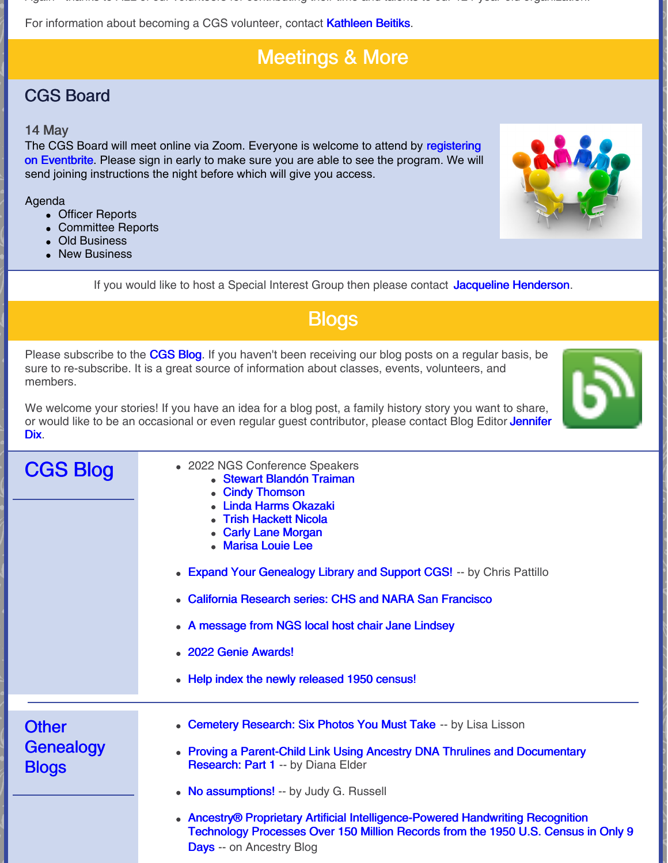Again - thanks to ALL of our volunteers for contributing their time and talents to our 124-year-old organization.

For information about becoming a CGS volunteer, contact [Kathleen](mailto:kbeitiks@californiaancestors.org) Beitiks.

# Meetings & More

# CGS Board

### 14 May

The CGS Board will meet online via Zoom. Everyone is welcome to attend by [registering](https://tinyurl.com/48ysezf6) on Eventbrite. Please sign in early to make sure you are able to see the program. We will send joining instructions the night before which will give you access.

### Agenda

- Officer Reports
- Committee Reports
- Old Business
- New Business



If you would like to host a Special Interest Group then please contact Jacqueline [Henderson](mailto:jhenderson@californiaancestors.org).

# **Blogs**

Please subscribe to the [CGS](http://blog.californiaancestors.org/) Blog. If you haven't been receiving our blog posts on a regular basis, be sure to re-subscribe. It is a great source of information about classes, events, volunteers, and members.



We welcome your stories! If you have an idea for a blog post, a family history story you want to share, or would like to be an occasional or even regular guest [contributor,](mailto:jdix@californiaancestors.org) please contact Blog Editor Jennifer Dix.

| <b>CGS Blog</b>                           | • 2022 NGS Conference Speakers<br><b>Stewart Blandón Traiman</b><br><b>Cindy Thomson</b><br><b>Linda Harms Okazaki</b><br><b>Trish Hackett Nicola</b><br><b>Carly Lane Morgan</b><br>• Marisa Louie Lee<br>• Expand Your Genealogy Library and Support CGS! -- by Chris Pattillo<br>• California Research series: CHS and NARA San Francisco<br>• A message from NGS local host chair Jane Lindsey<br>• 2022 Genie Awards!<br>• Help index the newly released 1950 census! |
|-------------------------------------------|----------------------------------------------------------------------------------------------------------------------------------------------------------------------------------------------------------------------------------------------------------------------------------------------------------------------------------------------------------------------------------------------------------------------------------------------------------------------------|
| <b>Other</b><br>Genealogy<br><b>Blogs</b> | • Cemetery Research: Six Photos You Must Take -- by Lisa Lisson<br>• Proving a Parent-Child Link Using Ancestry DNA Thrulines and Documentary<br><b>Research: Part 1 -- by Diana Elder</b><br>• No assumptions! -- by Judy G. Russell                                                                                                                                                                                                                                      |
|                                           | • Ancestry® Proprietary Artificial Intelligence-Powered Handwriting Recognition<br>Technology Processes Over 150 Million Records from the 1950 U.S. Census in Only 9<br><b>Days</b> -- on Ancestry Blog                                                                                                                                                                                                                                                                    |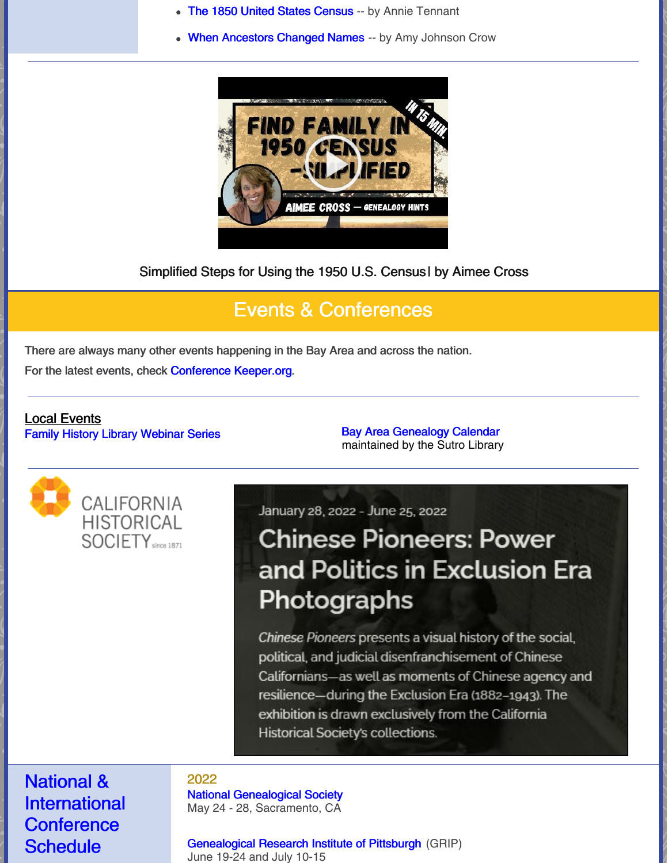- The 1850 United States [Census](https://www.familysearch.org/en/blog/1850-united-states-census) -- by Annie Tennant
- When [Ancestors](https://www.amyjohnsoncrow.com/when-ancestors-changed-names/) Changed Names -- by Amy Johnson Crow



Simplified Steps for Using the 1950 U.S. Census| by Aimee Cross

# Events & Conferences

There are always many other events happening in the Bay Area and across the nation.

For the latest events, check [Conference](https://conferencekeeper.org/) Keeper.org.

#### Local Events Family History Library [Webinar](https://www.familysearch.org/wiki/en/Family_History_Library_Classes_and_Webinars) Series **Bay Area [Genealogy](https://www.library.ca.gov/sutro/genealogy/calendar/) Calendar**

maintained by the Sutro Library



January 28, 2022 - June 25, 2022

# **Chinese Pioneers: Power** and Politics in Exclusion Era Photographs

Chinese Pioneers presents a visual history of the social, political, and judicial disenfranchisement of Chinese Californians—as well as moments of Chinese agency and resilience—during the Exclusion Era (1882-1943). The exhibition is drawn exclusively from the California Historical Society's collections.

National & **International Conference Schedule** 

#### 2022

National [Genealogical](https://conference.ngsgenealogy.org/ngs-2022-live/) Society May 24 - 28, Sacramento, CA

[Genealogical](https://www.gripitt.org/courses/) Research Institute of Pittsburgh (GRIP) June 19-24 and July 10-15